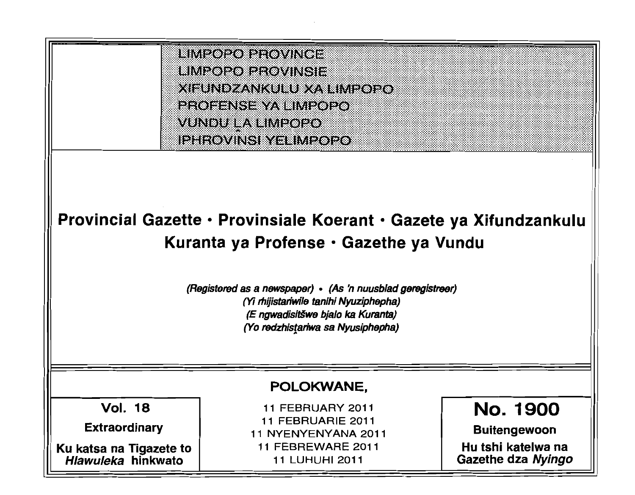

# Provincial Gazette • Provinsiale Koerant • Gazete ya Xifundzankulu Kuranta ya Profense • Gazethe ya Vundu

(Registered as a newspaper) • (As 'n nuusblad geregistreer) *(Yi* rhijistariwlle tan/hi Nyuziphepha) (E ngwadisitšwe bjalo ka Kuranta) (Yo redzhistariwa sa Nyusiphepha)

### POLOKWANE,

Vol. 18

Extraordinary

Ku katsa na Tigazete to Hlawuleka hinkwato

11 FEBRUARY 2011 11 FEBRUARIE 2011 11 NYENYENYANA 2011 11 FEBREWARE 2011 11 LUHUHI 2011

No. 1900 Buitengewoon

'::: . , " : " . : ::, ~ , , ,

, :

: :1 '~ ::  $...$ 

: :

Hu tshi katelwa na Gazethe dza Nyingo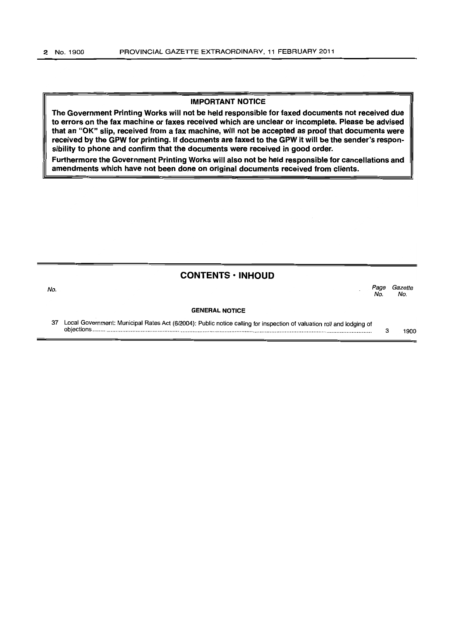#### **IMPORTANT NOTICE**

**The Government Printing Works will not be held responsible for faxed documents not received due to errors on the fax machine or faxes received which are unclear or incomplete. Please be advised that an** "OK" **slip, received from a fax machine, will not be accepted as proof that documents were received by the GPW for** printing. If **documents are faxed to the GPW it will be the sender's responsibility to phone and confirm that the documents were received in good order.** 

**Furthermore the Government Printing Works will also not be held responsible for cancellations and amendments which have not been done on original documents received from clients.** 

| <b>CONTENTS · INHOUD</b> |  |
|--------------------------|--|
|--------------------------|--|

No. No.

No. *Page Gazette* 

#### **GENERAL NOTICE**

37 Local ~ovemment: Municipal Rates Act (6/2004): Public notice calling for inspection of valuation roll and lodging of obJectIons ...................................................................................................................................................................... . 3 1900